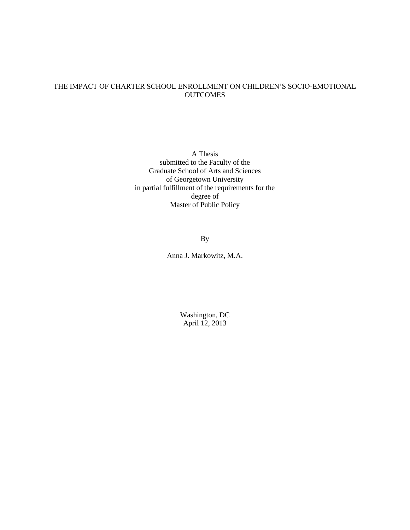## THE IMPACT OF CHARTER SCHOOL ENROLLMENT ON CHILDREN'S SOCIO-EMOTIONAL **OUTCOMES**

A Thesis submitted to the Faculty of the Graduate School of Arts and Sciences of Georgetown University in partial fulfillment of the requirements for the degree of Master of Public Policy

By

Anna J. Markowitz, M.A.

Washington, DC April 12, 2013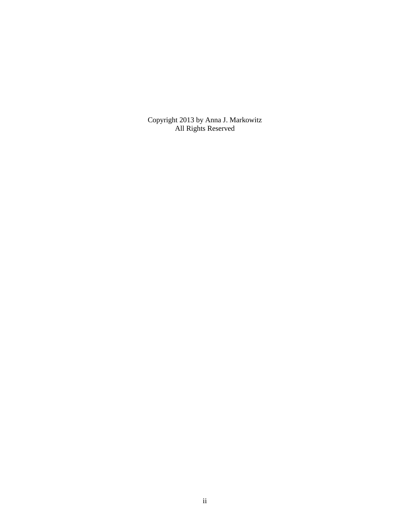Copyright 2013 by Anna J. Markowitz All Rights Reserved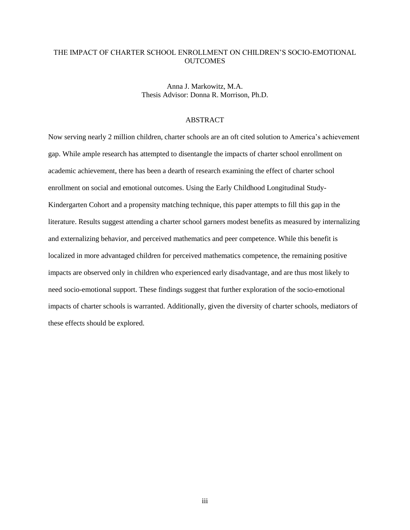## THE IMPACT OF CHARTER SCHOOL ENROLLMENT ON CHILDREN'S SOCIO-EMOTIONAL **OUTCOMES**

Anna J. Markowitz, M.A. Thesis Advisor: Donna R. Morrison, Ph.D.

#### ABSTRACT

Now serving nearly 2 million children, charter schools are an oft cited solution to America's achievement gap. While ample research has attempted to disentangle the impacts of charter school enrollment on academic achievement, there has been a dearth of research examining the effect of charter school enrollment on social and emotional outcomes. Using the Early Childhood Longitudinal Study-Kindergarten Cohort and a propensity matching technique, this paper attempts to fill this gap in the literature. Results suggest attending a charter school garners modest benefits as measured by internalizing and externalizing behavior, and perceived mathematics and peer competence. While this benefit is localized in more advantaged children for perceived mathematics competence, the remaining positive impacts are observed only in children who experienced early disadvantage, and are thus most likely to need socio-emotional support. These findings suggest that further exploration of the socio-emotional impacts of charter schools is warranted. Additionally, given the diversity of charter schools, mediators of these effects should be explored.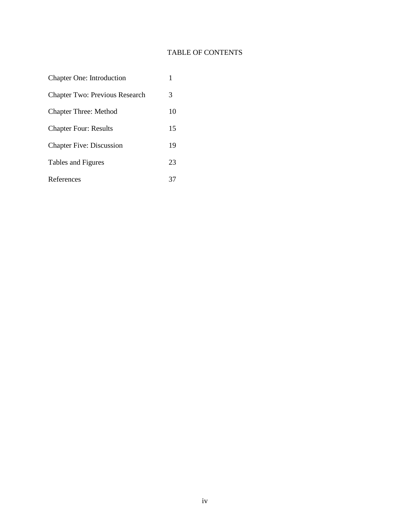# TABLE OF CONTENTS

| <b>Chapter One: Introduction</b>      |    |
|---------------------------------------|----|
| <b>Chapter Two: Previous Research</b> | 3  |
| <b>Chapter Three: Method</b>          | 10 |
| <b>Chapter Four: Results</b>          | 15 |
| <b>Chapter Five: Discussion</b>       | 19 |
| Tables and Figures                    | 23 |
| References                            |    |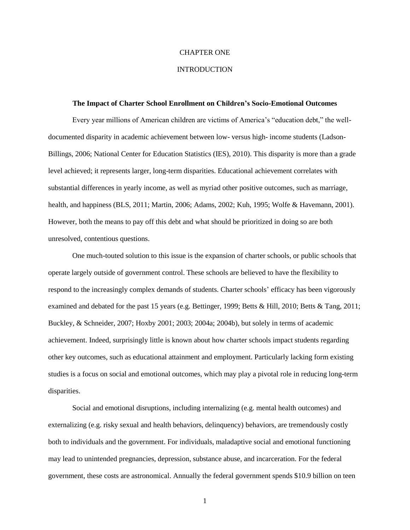### CHAPTER ONE

### **INTRODUCTION**

#### **The Impact of Charter School Enrollment on Children's Socio-Emotional Outcomes**

Every year millions of American children are victims of America's "education debt," the welldocumented disparity in academic achievement between low- versus high- income students (Ladson-Billings, 2006; National Center for Education Statistics (IES), 2010). This disparity is more than a grade level achieved; it represents larger, long-term disparities. Educational achievement correlates with substantial differences in yearly income, as well as myriad other positive outcomes, such as marriage, health, and happiness (BLS, 2011; Martin, 2006; Adams, 2002; Kuh, 1995; Wolfe & Havemann, 2001). However, both the means to pay off this debt and what should be prioritized in doing so are both unresolved, contentious questions.

One much-touted solution to this issue is the expansion of charter schools, or public schools that operate largely outside of government control. These schools are believed to have the flexibility to respond to the increasingly complex demands of students. Charter schools' efficacy has been vigorously examined and debated for the past 15 years (e.g. Bettinger, 1999; Betts & Hill, 2010; Betts & Tang, 2011; Buckley, & Schneider, 2007; Hoxby 2001; 2003; 2004a; 2004b), but solely in terms of academic achievement. Indeed, surprisingly little is known about how charter schools impact students regarding other key outcomes, such as educational attainment and employment. Particularly lacking form existing studies is a focus on social and emotional outcomes, which may play a pivotal role in reducing long-term disparities.

Social and emotional disruptions, including internalizing (e.g. mental health outcomes) and externalizing (e.g. risky sexual and health behaviors, delinquency) behaviors, are tremendously costly both to individuals and the government. For individuals, maladaptive social and emotional functioning may lead to unintended pregnancies, depression, substance abuse, and incarceration. For the federal government, these costs are astronomical. Annually the federal government spends \$10.9 billion on teen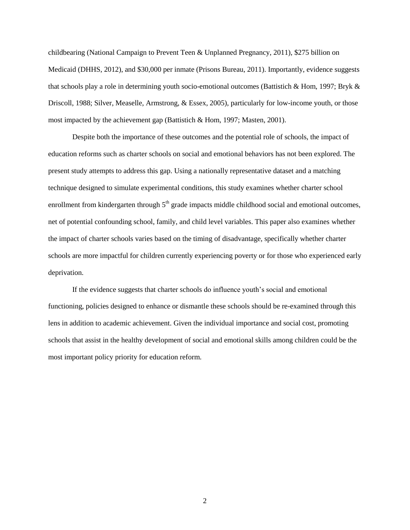childbearing (National Campaign to Prevent Teen & Unplanned Pregnancy, 2011), \$275 billion on Medicaid (DHHS, 2012), and \$30,000 per inmate (Prisons Bureau, 2011). Importantly, evidence suggests that schools play a role in determining youth socio-emotional outcomes (Battistich & Hom, 1997; Bryk & Driscoll, 1988; Silver, Measelle, Armstrong, & Essex, 2005), particularly for low-income youth, or those most impacted by the achievement gap (Battistich & Hom, 1997; Masten, 2001).

Despite both the importance of these outcomes and the potential role of schools, the impact of education reforms such as charter schools on social and emotional behaviors has not been explored. The present study attempts to address this gap. Using a nationally representative dataset and a matching technique designed to simulate experimental conditions, this study examines whether charter school enrollment from kindergarten through 5<sup>th</sup> grade impacts middle childhood social and emotional outcomes, net of potential confounding school, family, and child level variables. This paper also examines whether the impact of charter schools varies based on the timing of disadvantage, specifically whether charter schools are more impactful for children currently experiencing poverty or for those who experienced early deprivation.

If the evidence suggests that charter schools do influence youth's social and emotional functioning, policies designed to enhance or dismantle these schools should be re-examined through this lens in addition to academic achievement. Given the individual importance and social cost, promoting schools that assist in the healthy development of social and emotional skills among children could be the most important policy priority for education reform.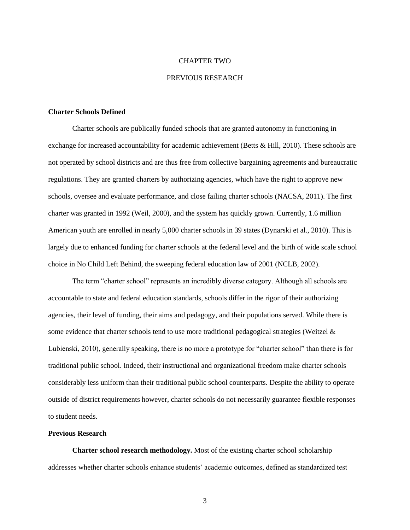### CHAPTER TWO

### PREVIOUS RESEARCH

### **Charter Schools Defined**

Charter schools are publically funded schools that are granted autonomy in functioning in exchange for increased accountability for academic achievement (Betts & Hill, 2010). These schools are not operated by school districts and are thus free from collective bargaining agreements and bureaucratic regulations. They are granted charters by authorizing agencies, which have the right to approve new schools, oversee and evaluate performance, and close failing charter schools (NACSA, 2011). The first charter was granted in 1992 (Weil, 2000), and the system has quickly grown. Currently, 1.6 million American youth are enrolled in nearly 5,000 charter schools in 39 states (Dynarski et al., 2010). This is largely due to enhanced funding for charter schools at the federal level and the birth of wide scale school choice in No Child Left Behind, the sweeping federal education law of 2001 (NCLB, 2002).

The term "charter school" represents an incredibly diverse category. Although all schools are accountable to state and federal education standards, schools differ in the rigor of their authorizing agencies, their level of funding, their aims and pedagogy, and their populations served. While there is some evidence that charter schools tend to use more traditional pedagogical strategies (Weitzel & Lubienski, 2010), generally speaking, there is no more a prototype for "charter school" than there is for traditional public school. Indeed, their instructional and organizational freedom make charter schools considerably less uniform than their traditional public school counterparts. Despite the ability to operate outside of district requirements however, charter schools do not necessarily guarantee flexible responses to student needs.

### **Previous Research**

**Charter school research methodology.** Most of the existing charter school scholarship addresses whether charter schools enhance students' academic outcomes, defined as standardized test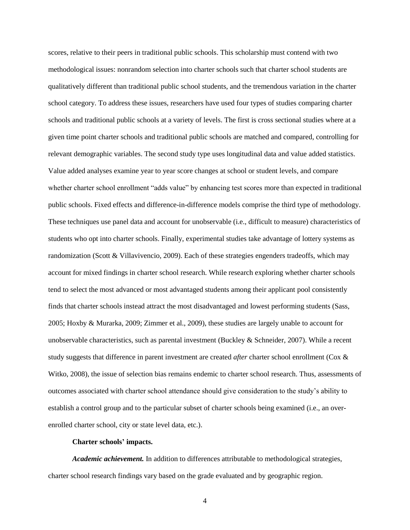scores, relative to their peers in traditional public schools. This scholarship must contend with two methodological issues: nonrandom selection into charter schools such that charter school students are qualitatively different than traditional public school students, and the tremendous variation in the charter school category. To address these issues, researchers have used four types of studies comparing charter schools and traditional public schools at a variety of levels. The first is cross sectional studies where at a given time point charter schools and traditional public schools are matched and compared, controlling for relevant demographic variables. The second study type uses longitudinal data and value added statistics. Value added analyses examine year to year score changes at school or student levels, and compare whether charter school enrollment "adds value" by enhancing test scores more than expected in traditional public schools. Fixed effects and difference-in-difference models comprise the third type of methodology. These techniques use panel data and account for unobservable (i.e., difficult to measure) characteristics of students who opt into charter schools. Finally, experimental studies take advantage of lottery systems as randomization (Scott & Villavivencio, 2009). Each of these strategies engenders tradeoffs, which may account for mixed findings in charter school research. While research exploring whether charter schools tend to select the most advanced or most advantaged students among their applicant pool consistently finds that charter schools instead attract the most disadvantaged and lowest performing students (Sass, 2005; Hoxby & Murarka, 2009; Zimmer et al., 2009), these studies are largely unable to account for unobservable characteristics, such as parental investment (Buckley & Schneider, 2007). While a recent study suggests that difference in parent investment are created *after* charter school enrollment (Cox & Witko, 2008), the issue of selection bias remains endemic to charter school research. Thus, assessments of outcomes associated with charter school attendance should give consideration to the study's ability to establish a control group and to the particular subset of charter schools being examined (i.e., an overenrolled charter school, city or state level data, etc.).

### **Charter schools' impacts.**

*Academic achievement.* In addition to differences attributable to methodological strategies, charter school research findings vary based on the grade evaluated and by geographic region.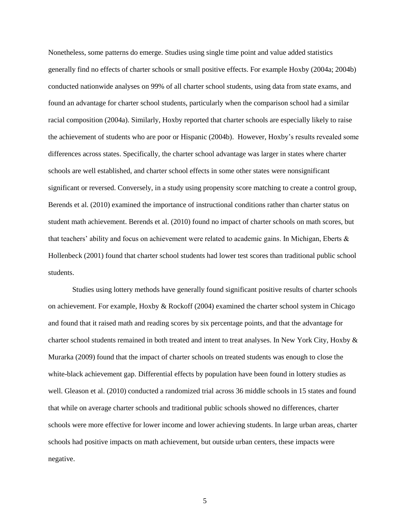Nonetheless, some patterns do emerge. Studies using single time point and value added statistics generally find no effects of charter schools or small positive effects. For example Hoxby (2004a; 2004b) conducted nationwide analyses on 99% of all charter school students, using data from state exams, and found an advantage for charter school students, particularly when the comparison school had a similar racial composition (2004a). Similarly, Hoxby reported that charter schools are especially likely to raise the achievement of students who are poor or Hispanic (2004b). However, Hoxby's results revealed some differences across states. Specifically, the charter school advantage was larger in states where charter schools are well established, and charter school effects in some other states were nonsignificant significant or reversed. Conversely, in a study using propensity score matching to create a control group, Berends et al. (2010) examined the importance of instructional conditions rather than charter status on student math achievement. Berends et al. (2010) found no impact of charter schools on math scores, but that teachers' ability and focus on achievement were related to academic gains. In Michigan, Eberts & Hollenbeck (2001) found that charter school students had lower test scores than traditional public school students.

Studies using lottery methods have generally found significant positive results of charter schools on achievement. For example, Hoxby & Rockoff (2004) examined the charter school system in Chicago and found that it raised math and reading scores by six percentage points, and that the advantage for charter school students remained in both treated and intent to treat analyses. In New York City, Hoxby & Murarka (2009) found that the impact of charter schools on treated students was enough to close the white-black achievement gap. Differential effects by population have been found in lottery studies as well. Gleason et al. (2010) conducted a randomized trial across 36 middle schools in 15 states and found that while on average charter schools and traditional public schools showed no differences, charter schools were more effective for lower income and lower achieving students. In large urban areas, charter schools had positive impacts on math achievement, but outside urban centers, these impacts were negative.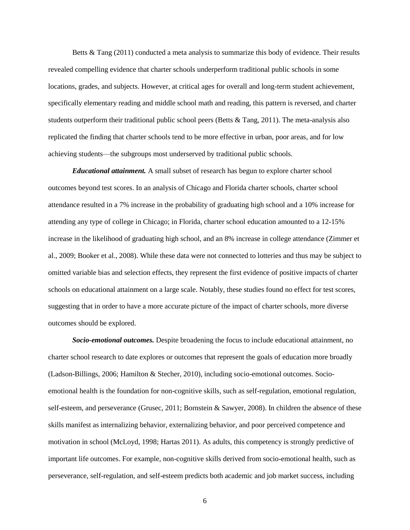Betts & Tang (2011) conducted a meta analysis to summarize this body of evidence. Their results revealed compelling evidence that charter schools underperform traditional public schools in some locations, grades, and subjects. However, at critical ages for overall and long-term student achievement, specifically elementary reading and middle school math and reading, this pattern is reversed, and charter students outperform their traditional public school peers (Betts  $\&$  Tang, 2011). The meta-analysis also replicated the finding that charter schools tend to be more effective in urban, poor areas, and for low achieving students—the subgroups most underserved by traditional public schools.

*Educational attainment.* A small subset of research has begun to explore charter school outcomes beyond test scores. In an analysis of Chicago and Florida charter schools, charter school attendance resulted in a 7% increase in the probability of graduating high school and a 10% increase for attending any type of college in Chicago; in Florida, charter school education amounted to a 12-15% increase in the likelihood of graduating high school, and an 8% increase in college attendance (Zimmer et al., 2009; Booker et al., 2008). While these data were not connected to lotteries and thus may be subject to omitted variable bias and selection effects, they represent the first evidence of positive impacts of charter schools on educational attainment on a large scale. Notably, these studies found no effect for test scores, suggesting that in order to have a more accurate picture of the impact of charter schools, more diverse outcomes should be explored.

*Socio-emotional outcomes.* Despite broadening the focus to include educational attainment, no charter school research to date explores or outcomes that represent the goals of education more broadly (Ladson-Billings, 2006; Hamilton & Stecher, 2010), including socio-emotional outcomes. Socioemotional health is the foundation for non-cognitive skills, such as self-regulation, emotional regulation, self-esteem, and perseverance (Grusec, 2011; Bornstein & Sawyer, 2008). In children the absence of these skills manifest as internalizing behavior, externalizing behavior, and poor perceived competence and motivation in school (McLoyd, 1998; Hartas 2011). As adults, this competency is strongly predictive of important life outcomes. For example, non-cognitive skills derived from socio-emotional health, such as perseverance, self-regulation, and self-esteem predicts both academic and job market success, including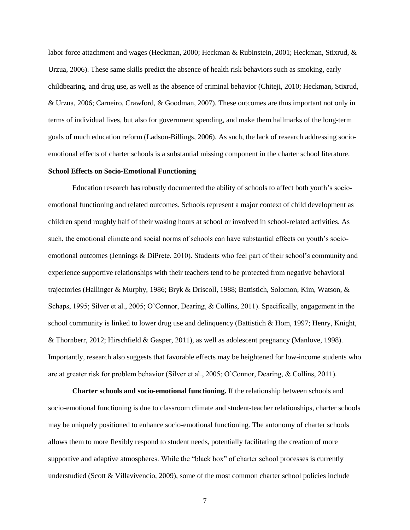labor force attachment and wages (Heckman, 2000; Heckman & Rubinstein, 2001; Heckman, Stixrud, & Urzua, 2006). These same skills predict the absence of health risk behaviors such as smoking, early childbearing, and drug use, as well as the absence of criminal behavior (Chiteji, 2010; Heckman, Stixrud, & Urzua, 2006; Carneiro, Crawford, & Goodman, 2007). These outcomes are thus important not only in terms of individual lives, but also for government spending, and make them hallmarks of the long-term goals of much education reform (Ladson-Billings, 2006). As such, the lack of research addressing socioemotional effects of charter schools is a substantial missing component in the charter school literature.

### **School Effects on Socio-Emotional Functioning**

Education research has robustly documented the ability of schools to affect both youth's socioemotional functioning and related outcomes. Schools represent a major context of child development as children spend roughly half of their waking hours at school or involved in school-related activities. As such, the emotional climate and social norms of schools can have substantial effects on youth's socioemotional outcomes (Jennings & DiPrete, 2010). Students who feel part of their school's community and experience supportive relationships with their teachers tend to be protected from negative behavioral trajectories (Hallinger & Murphy, 1986; Bryk & Driscoll, 1988; Battistich, Solomon, Kim, Watson, & Schaps, 1995; Silver et al., 2005; O'Connor, Dearing, & Collins, 2011). Specifically, engagement in the school community is linked to lower drug use and delinquency (Battistich & Hom, 1997; Henry, Knight, & Thornberr, 2012; Hirschfield & Gasper, 2011), as well as adolescent pregnancy (Manlove, 1998). Importantly, research also suggests that favorable effects may be heightened for low-income students who are at greater risk for problem behavior (Silver et al., 2005; O'Connor, Dearing, & Collins, 2011).

**Charter schools and socio-emotional functioning.** If the relationship between schools and socio-emotional functioning is due to classroom climate and student-teacher relationships, charter schools may be uniquely positioned to enhance socio-emotional functioning. The autonomy of charter schools allows them to more flexibly respond to student needs, potentially facilitating the creation of more supportive and adaptive atmospheres. While the "black box" of charter school processes is currently understudied (Scott & Villavivencio, 2009), some of the most common charter school policies include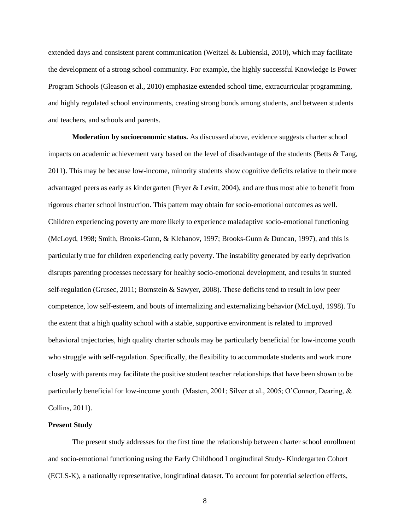extended days and consistent parent communication (Weitzel & Lubienski, 2010), which may facilitate the development of a strong school community. For example, the highly successful Knowledge Is Power Program Schools (Gleason et al., 2010) emphasize extended school time, extracurricular programming, and highly regulated school environments, creating strong bonds among students, and between students and teachers, and schools and parents.

**Moderation by socioeconomic status.** As discussed above, evidence suggests charter school impacts on academic achievement vary based on the level of disadvantage of the students (Betts & Tang, 2011). This may be because low-income, minority students show cognitive deficits relative to their more advantaged peers as early as kindergarten (Fryer & Levitt, 2004), and are thus most able to benefit from rigorous charter school instruction. This pattern may obtain for socio-emotional outcomes as well. Children experiencing poverty are more likely to experience maladaptive socio-emotional functioning (McLoyd, 1998; Smith, Brooks-Gunn, & Klebanov, 1997; Brooks-Gunn & Duncan, 1997), and this is particularly true for children experiencing early poverty. The instability generated by early deprivation disrupts parenting processes necessary for healthy socio-emotional development, and results in stunted self-regulation (Grusec, 2011; Bornstein & Sawyer, 2008). These deficits tend to result in low peer competence, low self-esteem, and bouts of internalizing and externalizing behavior (McLoyd, 1998). To the extent that a high quality school with a stable, supportive environment is related to improved behavioral trajectories, high quality charter schools may be particularly beneficial for low-income youth who struggle with self-regulation. Specifically, the flexibility to accommodate students and work more closely with parents may facilitate the positive student teacher relationships that have been shown to be particularly beneficial for low-income youth (Masten, 2001; Silver et al., 2005; O'Connor, Dearing, & Collins, 2011).

### **Present Study**

The present study addresses for the first time the relationship between charter school enrollment and socio-emotional functioning using the Early Childhood Longitudinal Study- Kindergarten Cohort (ECLS-K), a nationally representative, longitudinal dataset. To account for potential selection effects,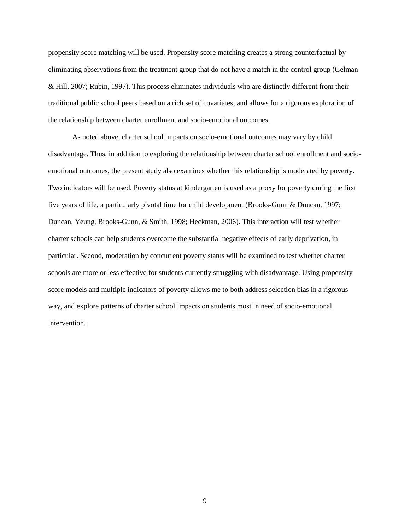propensity score matching will be used. Propensity score matching creates a strong counterfactual by eliminating observations from the treatment group that do not have a match in the control group (Gelman & Hill, 2007; Rubin, 1997). This process eliminates individuals who are distinctly different from their traditional public school peers based on a rich set of covariates, and allows for a rigorous exploration of the relationship between charter enrollment and socio-emotional outcomes.

As noted above, charter school impacts on socio-emotional outcomes may vary by child disadvantage. Thus, in addition to exploring the relationship between charter school enrollment and socioemotional outcomes, the present study also examines whether this relationship is moderated by poverty. Two indicators will be used. Poverty status at kindergarten is used as a proxy for poverty during the first five years of life, a particularly pivotal time for child development (Brooks-Gunn & Duncan, 1997; Duncan, Yeung, Brooks-Gunn, & Smith, 1998; Heckman, 2006). This interaction will test whether charter schools can help students overcome the substantial negative effects of early deprivation, in particular. Second, moderation by concurrent poverty status will be examined to test whether charter schools are more or less effective for students currently struggling with disadvantage. Using propensity score models and multiple indicators of poverty allows me to both address selection bias in a rigorous way, and explore patterns of charter school impacts on students most in need of socio-emotional intervention.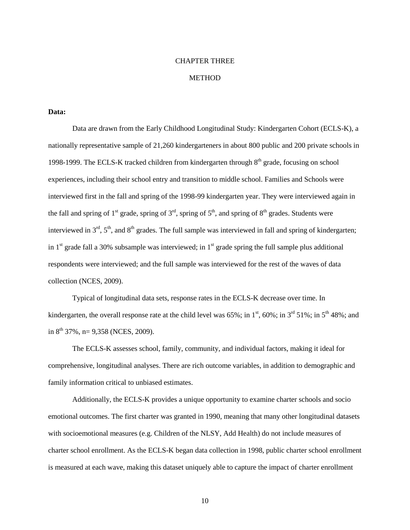### CHAPTER THREE

### **METHOD**

### **Data:**

Data are drawn from the Early Childhood Longitudinal Study: Kindergarten Cohort (ECLS-K), a nationally representative sample of 21,260 kindergarteners in about 800 public and 200 private schools in 1998-1999. The ECLS-K tracked children from kindergarten through 8<sup>th</sup> grade, focusing on school experiences, including their school entry and transition to middle school. Families and Schools were interviewed first in the fall and spring of the 1998-99 kindergarten year. They were interviewed again in the fall and spring of 1<sup>st</sup> grade, spring of 3<sup>rd</sup>, spring of 5<sup>th</sup>, and spring of 8<sup>th</sup> grades. Students were interviewed in  $3<sup>rd</sup>$ ,  $5<sup>th</sup>$ , and  $8<sup>th</sup>$  grades. The full sample was interviewed in fall and spring of kindergarten; in  $1<sup>st</sup>$  grade fall a 30% subsample was interviewed; in  $1<sup>st</sup>$  grade spring the full sample plus additional respondents were interviewed; and the full sample was interviewed for the rest of the waves of data collection (NCES, 2009).

Typical of longitudinal data sets, response rates in the ECLS-K decrease over time. In kindergarten, the overall response rate at the child level was 65%; in 1<sup>st</sup>, 60%; in 3<sup>rd</sup> 51%; in 5<sup>th</sup> 48%; and in  $8^{th}$  37%, n= 9,358 (NCES, 2009).

The ECLS-K assesses school, family, community, and individual factors, making it ideal for comprehensive, longitudinal analyses. There are rich outcome variables, in addition to demographic and family information critical to unbiased estimates.

Additionally, the ECLS-K provides a unique opportunity to examine charter schools and socio emotional outcomes. The first charter was granted in 1990, meaning that many other longitudinal datasets with socioemotional measures (e.g. Children of the NLSY, Add Health) do not include measures of charter school enrollment. As the ECLS-K began data collection in 1998, public charter school enrollment is measured at each wave, making this dataset uniquely able to capture the impact of charter enrollment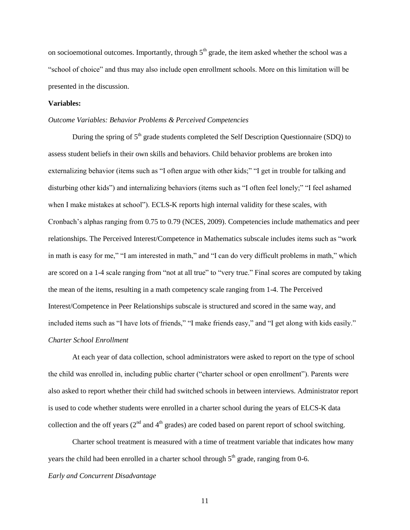on socioemotional outcomes. Importantly, through  $5<sup>th</sup>$  grade, the item asked whether the school was a "school of choice" and thus may also include open enrollment schools. More on this limitation will be presented in the discussion.

### **Variables:**

#### *Outcome Variables: Behavior Problems & Perceived Competencies*

During the spring of  $5<sup>th</sup>$  grade students completed the Self Description Questionnaire (SDQ) to assess student beliefs in their own skills and behaviors. Child behavior problems are broken into externalizing behavior (items such as "I often argue with other kids;" "I get in trouble for talking and disturbing other kids") and internalizing behaviors (items such as "I often feel lonely;" "I feel ashamed when I make mistakes at school"). ECLS-K reports high internal validity for these scales, with Cronbach's alphas ranging from 0.75 to 0.79 (NCES, 2009). Competencies include mathematics and peer relationships. The Perceived Interest/Competence in Mathematics subscale includes items such as "work in math is easy for me," "I am interested in math," and "I can do very difficult problems in math," which are scored on a 1-4 scale ranging from "not at all true" to "very true." Final scores are computed by taking the mean of the items, resulting in a math competency scale ranging from 1-4. The Perceived Interest/Competence in Peer Relationships subscale is structured and scored in the same way, and included items such as "I have lots of friends," "I make friends easy," and "I get along with kids easily." *Charter School Enrollment*

At each year of data collection, school administrators were asked to report on the type of school the child was enrolled in, including public charter ("charter school or open enrollment"). Parents were also asked to report whether their child had switched schools in between interviews. Administrator report is used to code whether students were enrolled in a charter school during the years of ELCS-K data collection and the off years  $(2<sup>nd</sup>$  and  $4<sup>th</sup>$  grades) are coded based on parent report of school switching.

Charter school treatment is measured with a time of treatment variable that indicates how many years the child had been enrolled in a charter school through  $5<sup>th</sup>$  grade, ranging from 0-6.

### *Early and Concurrent Disadvantage*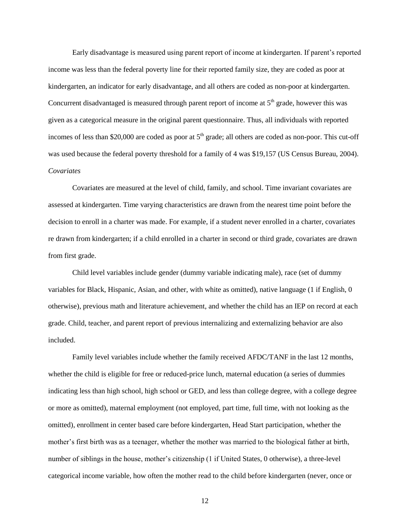Early disadvantage is measured using parent report of income at kindergarten. If parent's reported income was less than the federal poverty line for their reported family size, they are coded as poor at kindergarten, an indicator for early disadvantage, and all others are coded as non-poor at kindergarten. Concurrent disadvantaged is measured through parent report of income at  $5<sup>th</sup>$  grade, however this was given as a categorical measure in the original parent questionnaire. Thus, all individuals with reported incomes of less than \$20,000 are coded as poor at  $5<sup>th</sup>$  grade; all others are coded as non-poor. This cut-off was used because the federal poverty threshold for a family of 4 was \$19,157 (US Census Bureau, 2004). *Covariates* 

Covariates are measured at the level of child, family, and school. Time invariant covariates are assessed at kindergarten. Time varying characteristics are drawn from the nearest time point before the decision to enroll in a charter was made. For example, if a student never enrolled in a charter, covariates re drawn from kindergarten; if a child enrolled in a charter in second or third grade, covariates are drawn from first grade.

Child level variables include gender (dummy variable indicating male), race (set of dummy variables for Black, Hispanic, Asian, and other, with white as omitted), native language (1 if English, 0 otherwise), previous math and literature achievement, and whether the child has an IEP on record at each grade. Child, teacher, and parent report of previous internalizing and externalizing behavior are also included.

Family level variables include whether the family received AFDC/TANF in the last 12 months, whether the child is eligible for free or reduced-price lunch, maternal education (a series of dummies indicating less than high school, high school or GED, and less than college degree, with a college degree or more as omitted), maternal employment (not employed, part time, full time, with not looking as the omitted), enrollment in center based care before kindergarten, Head Start participation, whether the mother's first birth was as a teenager, whether the mother was married to the biological father at birth, number of siblings in the house, mother's citizenship (1 if United States, 0 otherwise), a three-level categorical income variable, how often the mother read to the child before kindergarten (never, once or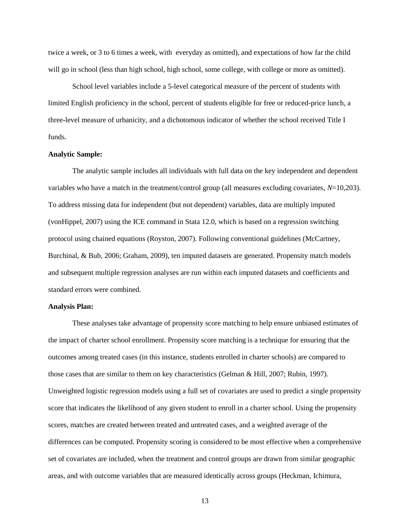twice a week, or 3 to 6 times a week, with everyday as omitted), and expectations of how far the child will go in school (less than high school, high school, some college, with college or more as omitted).

School level variables include a 5-level categorical measure of the percent of students with limited English proficiency in the school, percent of students eligible for free or reduced-price lunch, a three-level measure of urbanicity, and a dichotomous indicator of whether the school received Title I funds.

### **Analytic Sample:**

The analytic sample includes all individuals with full data on the key independent and dependent variables who have a match in the treatment/control group (all measures excluding covariates, *N*=10,203). To address missing data for independent (but not dependent) variables, data are multiply imputed (vonHippel, 2007) using the ICE command in Stata 12.0, which is based on a regression switching protocol using chained equations (Royston, 2007). Following conventional guidelines (McCartney, Burchinal, & Bub, 2006; Graham, 2009), ten imputed datasets are generated. Propensity match models and subsequent multiple regression analyses are run within each imputed datasets and coefficients and standard errors were combined.

#### **Analysis Plan:**

These analyses take advantage of propensity score matching to help ensure unbiased estimates of the impact of charter school enrollment. Propensity score matching is a technique for ensuring that the outcomes among treated cases (in this instance, students enrolled in charter schools) are compared to those cases that are similar to them on key characteristics (Gelman & Hill, 2007; Rubin, 1997). Unweighted logistic regression models using a full set of covariates are used to predict a single propensity score that indicates the likelihood of any given student to enroll in a charter school. Using the propensity scores, matches are created between treated and untreated cases, and a weighted average of the differences can be computed. Propensity scoring is considered to be most effective when a comprehensive set of covariates are included, when the treatment and control groups are drawn from similar geographic areas, and with outcome variables that are measured identically across groups (Heckman, Ichimura,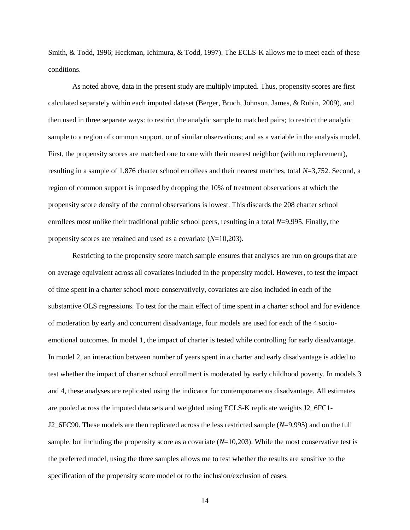Smith, & Todd, 1996; Heckman, Ichimura, & Todd, 1997). The ECLS-K allows me to meet each of these conditions.

As noted above, data in the present study are multiply imputed. Thus, propensity scores are first calculated separately within each imputed dataset (Berger, Bruch, Johnson, James, & Rubin, 2009), and then used in three separate ways: to restrict the analytic sample to matched pairs; to restrict the analytic sample to a region of common support, or of similar observations; and as a variable in the analysis model. First, the propensity scores are matched one to one with their nearest neighbor (with no replacement), resulting in a sample of 1,876 charter school enrollees and their nearest matches, total *N*=3,752. Second, a region of common support is imposed by dropping the 10% of treatment observations at which the propensity score density of the control observations is lowest. This discards the 208 charter school enrollees most unlike their traditional public school peers, resulting in a total *N*=9,995. Finally, the propensity scores are retained and used as a covariate (*N*=10,203).

Restricting to the propensity score match sample ensures that analyses are run on groups that are on average equivalent across all covariates included in the propensity model. However, to test the impact of time spent in a charter school more conservatively, covariates are also included in each of the substantive OLS regressions. To test for the main effect of time spent in a charter school and for evidence of moderation by early and concurrent disadvantage, four models are used for each of the 4 socioemotional outcomes. In model 1, the impact of charter is tested while controlling for early disadvantage. In model 2, an interaction between number of years spent in a charter and early disadvantage is added to test whether the impact of charter school enrollment is moderated by early childhood poverty. In models 3 and 4, these analyses are replicated using the indicator for contemporaneous disadvantage. All estimates are pooled across the imputed data sets and weighted using ECLS-K replicate weights J2\_6FC1- J2\_6FC90. These models are then replicated across the less restricted sample (*N*=9,995) and on the full sample, but including the propensity score as a covariate  $(N=10,203)$ . While the most conservative test is the preferred model, using the three samples allows me to test whether the results are sensitive to the specification of the propensity score model or to the inclusion/exclusion of cases.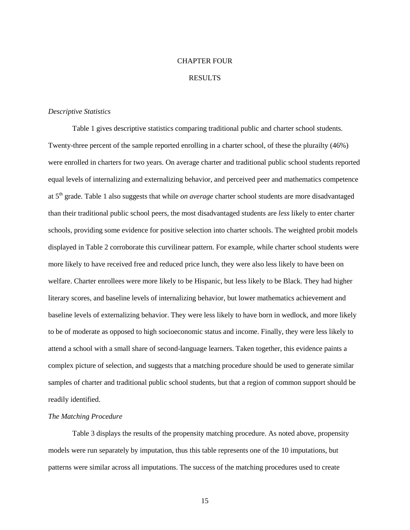## CHAPTER FOUR

### RESULTS

#### *Descriptive Statistics*

Table 1 gives descriptive statistics comparing traditional public and charter school students. Twenty-three percent of the sample reported enrolling in a charter school, of these the plurailty (46%) were enrolled in charters for two years. On average charter and traditional public school students reported equal levels of internalizing and externalizing behavior, and perceived peer and mathematics competence at 5th grade. Table 1 also suggests that while *on average* charter school students are more disadvantaged than their traditional public school peers, the most disadvantaged students are *less* likely to enter charter schools, providing some evidence for positive selection into charter schools. The weighted probit models displayed in Table 2 corroborate this curvilinear pattern. For example, while charter school students were more likely to have received free and reduced price lunch, they were also less likely to have been on welfare. Charter enrollees were more likely to be Hispanic, but less likely to be Black. They had higher literary scores, and baseline levels of internalizing behavior, but lower mathematics achievement and baseline levels of externalizing behavior. They were less likely to have born in wedlock, and more likely to be of moderate as opposed to high socioeconomic status and income. Finally, they were less likely to attend a school with a small share of second-language learners. Taken together, this evidence paints a complex picture of selection, and suggests that a matching procedure should be used to generate similar samples of charter and traditional public school students, but that a region of common support should be readily identified.

### *The Matching Procedure*

Table 3 displays the results of the propensity matching procedure. As noted above, propensity models were run separately by imputation, thus this table represents one of the 10 imputations, but patterns were similar across all imputations. The success of the matching procedures used to create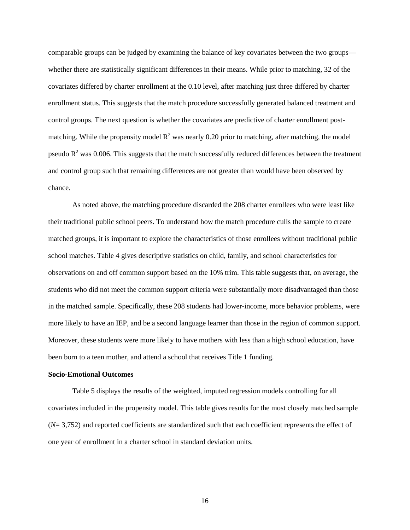comparable groups can be judged by examining the balance of key covariates between the two groups whether there are statistically significant differences in their means. While prior to matching, 32 of the covariates differed by charter enrollment at the 0.10 level, after matching just three differed by charter enrollment status. This suggests that the match procedure successfully generated balanced treatment and control groups. The next question is whether the covariates are predictive of charter enrollment postmatching. While the propensity model  $R^2$  was nearly 0.20 prior to matching, after matching, the model pseudo  $R<sup>2</sup>$  was 0.006. This suggests that the match successfully reduced differences between the treatment and control group such that remaining differences are not greater than would have been observed by chance.

As noted above, the matching procedure discarded the 208 charter enrollees who were least like their traditional public school peers. To understand how the match procedure culls the sample to create matched groups, it is important to explore the characteristics of those enrollees without traditional public school matches. Table 4 gives descriptive statistics on child, family, and school characteristics for observations on and off common support based on the 10% trim. This table suggests that, on average, the students who did not meet the common support criteria were substantially more disadvantaged than those in the matched sample. Specifically, these 208 students had lower-income, more behavior problems, were more likely to have an IEP, and be a second language learner than those in the region of common support. Moreover, these students were more likely to have mothers with less than a high school education, have been born to a teen mother, and attend a school that receives Title 1 funding.

### **Socio-Emotional Outcomes**

Table 5 displays the results of the weighted, imputed regression models controlling for all covariates included in the propensity model. This table gives results for the most closely matched sample (*N*= 3,752) and reported coefficients are standardized such that each coefficient represents the effect of one year of enrollment in a charter school in standard deviation units.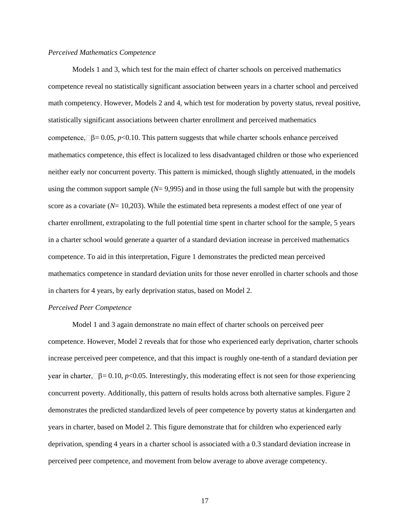### *Perceived Mathematics Competence*

Models 1 and 3, which test for the main effect of charter schools on perceived mathematics competence reveal no statistically significant association between years in a charter school and perceived math competency. However, Models 2 and 4, which test for moderation by poverty status, reveal positive, statistically significant associations between charter enrollment and perceived mathematics competence,  $\Box \beta = 0.05$ , *p*<0.10. This pattern suggests that while charter schools enhance perceived mathematics competence, this effect is localized to less disadvantaged children or those who experienced neither early nor concurrent poverty. This pattern is mimicked, though slightly attenuated, in the models using the common support sample  $(N= 9,995)$  and in those using the full sample but with the propensity score as a covariate (*N*= 10,203). While the estimated beta represents a modest effect of one year of charter enrollment, extrapolating to the full potential time spent in charter school for the sample, 5 years in a charter school would generate a quarter of a standard deviation increase in perceived mathematics competence. To aid in this interpretation, Figure 1 demonstrates the predicted mean perceived mathematics competence in standard deviation units for those never enrolled in charter schools and those in charters for 4 years, by early deprivation status, based on Model 2.

### *Perceived Peer Competence*

Model 1 and 3 again demonstrate no main effect of charter schools on perceived peer competence. However, Model 2 reveals that for those who experienced early deprivation, charter schools increase perceived peer competence, and that this impact is roughly one-tenth of a standard deviation per year in charter,  $\Box \beta = 0.10$ , *p*<0.05. Interestingly, this moderating effect is not seen for those experiencing concurrent poverty. Additionally, this pattern of results holds across both alternative samples. Figure 2 demonstrates the predicted standardized levels of peer competence by poverty status at kindergarten and years in charter, based on Model 2. This figure demonstrate that for children who experienced early deprivation, spending 4 years in a charter school is associated with a 0.3 standard deviation increase in perceived peer competence, and movement from below average to above average competency.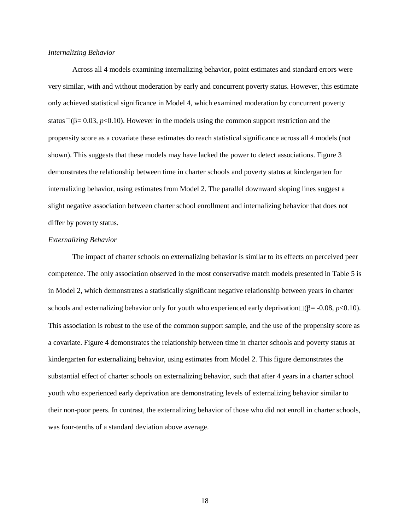### *Internalizing Behavior*

Across all 4 models examining internalizing behavior, point estimates and standard errors were very similar, with and without moderation by early and concurrent poverty status. However, this estimate only achieved statistical significance in Model 4, which examined moderation by concurrent poverty status  $(\beta = 0.03, p<0.10)$ . However in the models using the common support restriction and the propensity score as a covariate these estimates do reach statistical significance across all 4 models (not shown). This suggests that these models may have lacked the power to detect associations. Figure 3 demonstrates the relationship between time in charter schools and poverty status at kindergarten for internalizing behavior, using estimates from Model 2. The parallel downward sloping lines suggest a slight negative association between charter school enrollment and internalizing behavior that does not differ by poverty status.

### *Externalizing Behavior*

The impact of charter schools on externalizing behavior is similar to its effects on perceived peer competence. The only association observed in the most conservative match models presented in Table 5 is in Model 2, which demonstrates a statistically significant negative relationship between years in charter schools and externalizing behavior only for youth who experienced early deprivation  $\Box(\beta = -0.08, p < 0.10)$ . This association is robust to the use of the common support sample, and the use of the propensity score as a covariate. Figure 4 demonstrates the relationship between time in charter schools and poverty status at kindergarten for externalizing behavior, using estimates from Model 2. This figure demonstrates the substantial effect of charter schools on externalizing behavior, such that after 4 years in a charter school youth who experienced early deprivation are demonstrating levels of externalizing behavior similar to their non-poor peers. In contrast, the externalizing behavior of those who did not enroll in charter schools, was four-tenths of a standard deviation above average.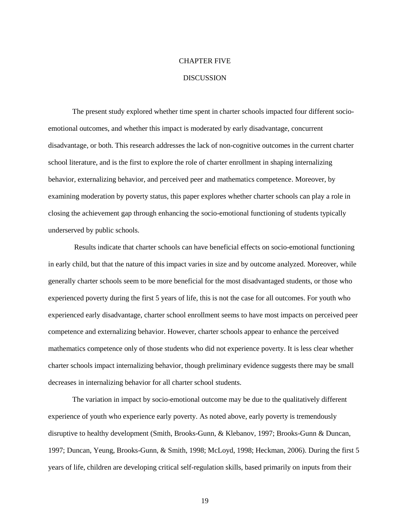#### CHAPTER FIVE

### DISCUSSION

The present study explored whether time spent in charter schools impacted four different socioemotional outcomes, and whether this impact is moderated by early disadvantage, concurrent disadvantage, or both. This research addresses the lack of non-cognitive outcomes in the current charter school literature, and is the first to explore the role of charter enrollment in shaping internalizing behavior, externalizing behavior, and perceived peer and mathematics competence. Moreover, by examining moderation by poverty status, this paper explores whether charter schools can play a role in closing the achievement gap through enhancing the socio-emotional functioning of students typically underserved by public schools.

Results indicate that charter schools can have beneficial effects on socio-emotional functioning in early child, but that the nature of this impact varies in size and by outcome analyzed. Moreover, while generally charter schools seem to be more beneficial for the most disadvantaged students, or those who experienced poverty during the first 5 years of life, this is not the case for all outcomes. For youth who experienced early disadvantage, charter school enrollment seems to have most impacts on perceived peer competence and externalizing behavior. However, charter schools appear to enhance the perceived mathematics competence only of those students who did not experience poverty. It is less clear whether charter schools impact internalizing behavior, though preliminary evidence suggests there may be small decreases in internalizing behavior for all charter school students.

The variation in impact by socio-emotional outcome may be due to the qualitatively different experience of youth who experience early poverty. As noted above, early poverty is tremendously disruptive to healthy development (Smith, Brooks-Gunn, & Klebanov, 1997; Brooks-Gunn & Duncan, 1997; Duncan, Yeung, Brooks-Gunn, & Smith, 1998; McLoyd, 1998; Heckman, 2006). During the first 5 years of life, children are developing critical self-regulation skills, based primarily on inputs from their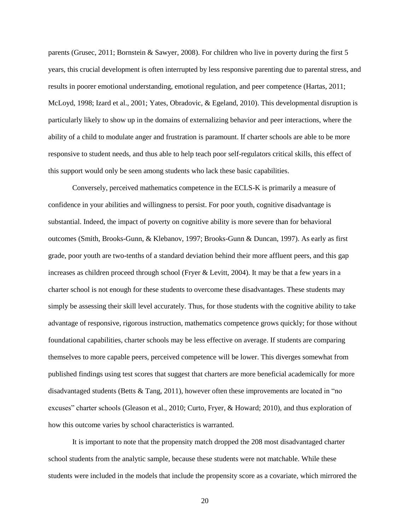parents (Grusec, 2011; Bornstein & Sawyer, 2008). For children who live in poverty during the first 5 years, this crucial development is often interrupted by less responsive parenting due to parental stress, and results in poorer emotional understanding, emotional regulation, and peer competence (Hartas, 2011; McLoyd, 1998; Izard et al., 2001; Yates, Obradovic, & Egeland, 2010). This developmental disruption is particularly likely to show up in the domains of externalizing behavior and peer interactions, where the ability of a child to modulate anger and frustration is paramount. If charter schools are able to be more responsive to student needs, and thus able to help teach poor self-regulators critical skills, this effect of this support would only be seen among students who lack these basic capabilities.

Conversely, perceived mathematics competence in the ECLS-K is primarily a measure of confidence in your abilities and willingness to persist. For poor youth, cognitive disadvantage is substantial. Indeed, the impact of poverty on cognitive ability is more severe than for behavioral outcomes (Smith, Brooks-Gunn, & Klebanov, 1997; Brooks-Gunn & Duncan, 1997). As early as first grade, poor youth are two-tenths of a standard deviation behind their more affluent peers, and this gap increases as children proceed through school (Fryer & Levitt, 2004). It may be that a few years in a charter school is not enough for these students to overcome these disadvantages. These students may simply be assessing their skill level accurately. Thus, for those students with the cognitive ability to take advantage of responsive, rigorous instruction, mathematics competence grows quickly; for those without foundational capabilities, charter schools may be less effective on average. If students are comparing themselves to more capable peers, perceived competence will be lower. This diverges somewhat from published findings using test scores that suggest that charters are more beneficial academically for more disadvantaged students (Betts & Tang, 2011), however often these improvements are located in "no excuses" charter schools (Gleason et al., 2010; Curto, Fryer, & Howard; 2010), and thus exploration of how this outcome varies by school characteristics is warranted.

It is important to note that the propensity match dropped the 208 most disadvantaged charter school students from the analytic sample, because these students were not matchable. While these students were included in the models that include the propensity score as a covariate, which mirrored the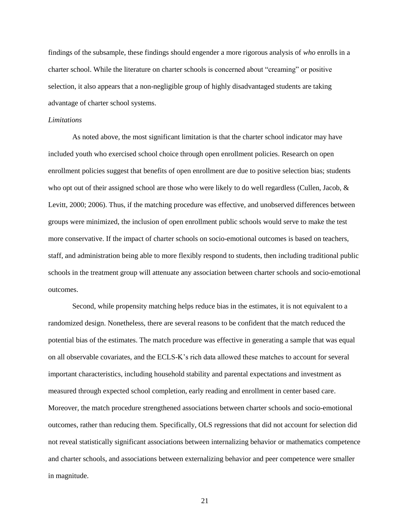findings of the subsample, these findings should engender a more rigorous analysis of *who* enrolls in a charter school. While the literature on charter schools is concerned about "creaming" or positive selection, it also appears that a non-negligible group of highly disadvantaged students are taking advantage of charter school systems.

#### *Limitations*

As noted above, the most significant limitation is that the charter school indicator may have included youth who exercised school choice through open enrollment policies. Research on open enrollment policies suggest that benefits of open enrollment are due to positive selection bias; students who opt out of their assigned school are those who were likely to do well regardless (Cullen, Jacob, & Levitt, 2000; 2006). Thus, if the matching procedure was effective, and unobserved differences between groups were minimized, the inclusion of open enrollment public schools would serve to make the test more conservative. If the impact of charter schools on socio-emotional outcomes is based on teachers, staff, and administration being able to more flexibly respond to students, then including traditional public schools in the treatment group will attenuate any association between charter schools and socio-emotional outcomes.

Second, while propensity matching helps reduce bias in the estimates, it is not equivalent to a randomized design. Nonetheless, there are several reasons to be confident that the match reduced the potential bias of the estimates. The match procedure was effective in generating a sample that was equal on all observable covariates, and the ECLS-K's rich data allowed these matches to account for several important characteristics, including household stability and parental expectations and investment as measured through expected school completion, early reading and enrollment in center based care. Moreover, the match procedure strengthened associations between charter schools and socio-emotional outcomes, rather than reducing them. Specifically, OLS regressions that did not account for selection did not reveal statistically significant associations between internalizing behavior or mathematics competence and charter schools, and associations between externalizing behavior and peer competence were smaller in magnitude.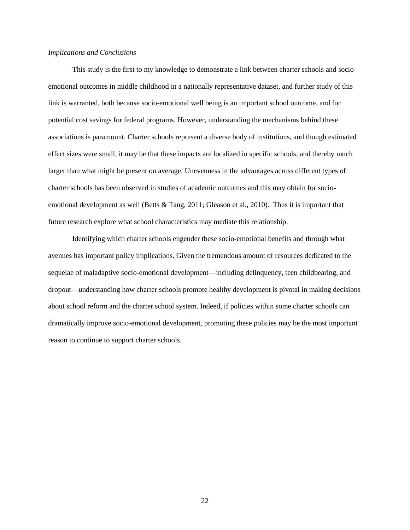### *Implications and Conclusions*

This study is the first to my knowledge to demonstrate a link between charter schools and socioemotional outcomes in middle childhood in a nationally representative dataset, and further study of this link is warranted, both because socio-emotional well being is an important school outcome, and for potential cost savings for federal programs. However, understanding the mechanisms behind these associations is paramount. Charter schools represent a diverse body of institutions, and though estimated effect sizes were small, it may be that these impacts are localized in specific schools, and thereby much larger than what might be present on average. Unevenness in the advantages across different types of charter schools has been observed in studies of academic outcomes and this may obtain for socioemotional development as well (Betts & Tang, 2011; Gleason et al., 2010). Thus it is important that future research explore what school characteristics may mediate this relationship.

Identifying which charter schools engender these socio-emotional benefits and through what avenues has important policy implications. Given the tremendous amount of resources dedicated to the sequelae of maladaptive socio-emotional development—including delinquency, teen childbearing, and dropout—understanding how charter schools promote healthy development is pivotal in making decisions about school reform and the charter school system. Indeed, if policies within some charter schools can dramatically improve socio-emotional development, promoting these policies may be the most important reason to continue to support charter schools.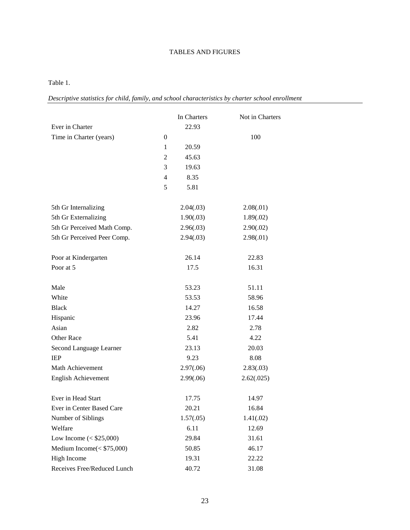## TABLES AND FIGURES

### Table 1.

*Descriptive statistics for child, family, and school characteristics by charter school enrollment*

|                              |                  | In Charters | Not in Charters |
|------------------------------|------------------|-------------|-----------------|
| Ever in Charter              |                  | 22.93       |                 |
| Time in Charter (years)      | $\boldsymbol{0}$ |             | 100             |
|                              | 1                | 20.59       |                 |
|                              | $\overline{2}$   | 45.63       |                 |
|                              | 3                | 19.63       |                 |
|                              | $\overline{4}$   | 8.35        |                 |
|                              | 5                | 5.81        |                 |
| 5th Gr Internalizing         |                  | 2.04(.03)   | 2.08(.01)       |
| 5th Gr Externalizing         |                  | 1.90(.03)   | 1.89(.02)       |
| 5th Gr Perceived Math Comp.  |                  | 2.96(.03)   | 2.90(.02)       |
| 5th Gr Perceived Peer Comp.  |                  | 2.94(.03)   | 2.98(.01)       |
|                              |                  |             |                 |
| Poor at Kindergarten         |                  | 26.14       | 22.83           |
| Poor at 5                    |                  | 17.5        | 16.31           |
| Male                         |                  | 53.23       | 51.11           |
| White                        |                  | 53.53       | 58.96           |
| <b>Black</b>                 |                  |             |                 |
|                              |                  | 14.27       | 16.58           |
| Hispanic<br>Asian            |                  | 23.96       | 17.44           |
|                              |                  | 2.82        | 2.78            |
| Other Race                   |                  | 5.41        | 4.22            |
| Second Language Learner      |                  | 23.13       | 20.03           |
| <b>IEP</b>                   |                  | 9.23        | 8.08            |
| Math Achievement             |                  | 2.97(.06)   | 2.83(.03)       |
| English Achievement          |                  | 2.99(.06)   | 2.62(.025)      |
| Ever in Head Start           |                  | 17.75       | 14.97           |
| Ever in Center Based Care    |                  | 20.21       | 16.84           |
| Number of Siblings           |                  | 1.57(.05)   | 1.41(.02)       |
| Welfare                      |                  | 6.11        | 12.69           |
| Low Income $(<$ \$25,000)    |                  | 29.84       | 31.61           |
| Medium Income $(<$ \$75,000) |                  | 50.85       | 46.17           |
| High Income                  |                  | 19.31       | 22.22           |
| Receives Free/Reduced Lunch  |                  | 40.72       | 31.08           |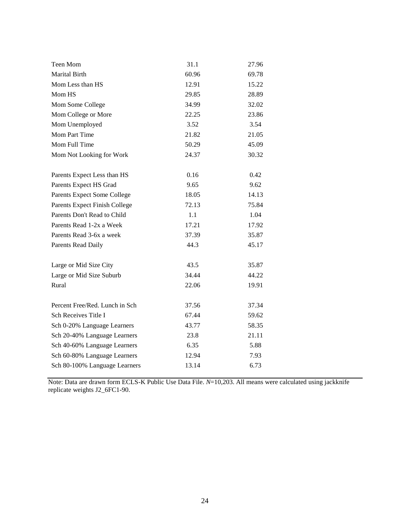| Teen Mom                       | 31.1  | 27.96 |
|--------------------------------|-------|-------|
| Marital Birth                  | 60.96 | 69.78 |
| Mom Less than HS               | 12.91 | 15.22 |
| Mom HS                         | 29.85 | 28.89 |
| Mom Some College               | 34.99 | 32.02 |
| Mom College or More            | 22.25 | 23.86 |
| Mom Unemployed                 | 3.52  | 3.54  |
| Mom Part Time                  | 21.82 | 21.05 |
| Mom Full Time                  | 50.29 | 45.09 |
| Mom Not Looking for Work       | 24.37 | 30.32 |
|                                |       |       |
| Parents Expect Less than HS    | 0.16  | 0.42  |
| Parents Expect HS Grad         | 9.65  | 9.62  |
| Parents Expect Some College    | 18.05 | 14.13 |
| Parents Expect Finish College  | 72.13 | 75.84 |
| Parents Don't Read to Child    | 1.1   | 1.04  |
| Parents Read 1-2x a Week       | 17.21 | 17.92 |
| Parents Read 3-6x a week       | 37.39 | 35.87 |
| Parents Read Daily             | 44.3  | 45.17 |
| Large or Mid Size City         | 43.5  | 35.87 |
| Large or Mid Size Suburb       | 34.44 | 44.22 |
| Rural                          | 22.06 | 19.91 |
| Percent Free/Red. Lunch in Sch | 37.56 | 37.34 |
| Sch Receives Title I           | 67.44 | 59.62 |
| Sch 0-20% Language Learners    | 43.77 | 58.35 |
| Sch 20-40% Language Learners   | 23.8  | 21.11 |
| Sch 40-60% Language Learners   | 6.35  | 5.88  |
| Sch 60-80% Language Learners   | 12.94 | 7.93  |
| Sch 80-100% Language Learners  | 13.14 | 6.73  |
|                                |       |       |

Note: Data are drawn form ECLS-K Public Use Data File. *N*=10,203. All means were calculated using jackknife replicate weights J2\_6FC1-90.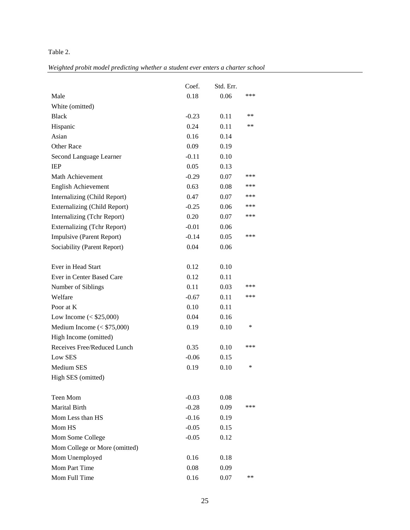## Table 2.

*Weighted probit model predicting whether a student ever enters a charter school*

|                                     | Coef.   | Std. Err. |     |
|-------------------------------------|---------|-----------|-----|
| Male                                | 0.18    | 0.06      | *** |
| White (omitted)                     |         |           |     |
| <b>Black</b>                        | $-0.23$ | 0.11      | **  |
| Hispanic                            | 0.24    | 0.11      | **  |
| Asian                               | 0.16    | 0.14      |     |
| <b>Other Race</b>                   | 0.09    | 0.19      |     |
| Second Language Learner             | $-0.11$ | 0.10      |     |
| <b>IEP</b>                          | 0.05    | 0.13      |     |
| Math Achievement                    | $-0.29$ | 0.07      | *** |
| <b>English Achievement</b>          | 0.63    | 0.08      | *** |
| Internalizing (Child Report)        | 0.47    | 0.07      | *** |
| <b>Externalizing (Child Report)</b> | $-0.25$ | 0.06      | *** |
| Internalizing (Tchr Report)         | 0.20    | 0.07      | *** |
| <b>Externalizing (Tchr Report)</b>  | $-0.01$ | 0.06      |     |
| Impulsive (Parent Report)           | $-0.14$ | 0.05      | *** |
| Sociability (Parent Report)         | 0.04    | 0.06      |     |
|                                     |         |           |     |
| Ever in Head Start                  | 0.12    | 0.10      |     |
| Ever in Center Based Care           | 0.12    | 0.11      |     |
| Number of Siblings                  | 0.11    | 0.03      | *** |
| Welfare                             | $-0.67$ | 0.11      | *** |
| Poor at K                           | 0.10    | 0.11      |     |
| Low Income $(<$ \$25,000)           | 0.04    | 0.16      |     |
| Medium Income $(<$ \$75,000)        | 0.19    | 0.10      | *   |
| High Income (omitted)               |         |           |     |
| Receives Free/Reduced Lunch         | 0.35    | 0.10      | *** |
| <b>Low SES</b>                      | $-0.06$ | 0.15      |     |
| Medium SES                          | 0.19    | 0.10      | *   |
| High SES (omitted)                  |         |           |     |
|                                     |         |           |     |
| Teen Mom                            | $-0.03$ | 0.08      |     |
| Marital Birth                       | $-0.28$ | 0.09      | *** |
| Mom Less than HS                    | $-0.16$ | 0.19      |     |
| Mom HS                              | $-0.05$ | 0.15      |     |
| Mom Some College                    | $-0.05$ | 0.12      |     |
| Mom College or More (omitted)       |         |           |     |
| Mom Unemployed                      | 0.16    | 0.18      |     |
| Mom Part Time                       | 0.08    | 0.09      |     |
| Mom Full Time                       | 0.16    | 0.07      | **  |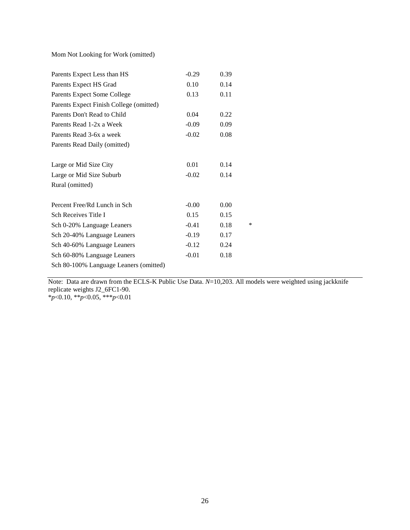Mom Not Looking for Work (omitted)

| Parents Expect Less than HS             | $-0.29$ | 0.39 |        |
|-----------------------------------------|---------|------|--------|
| Parents Expect HS Grad                  | 0.10    | 0.14 |        |
| Parents Expect Some College             | 0.13    | 0.11 |        |
| Parents Expect Finish College (omitted) |         |      |        |
| Parents Don't Read to Child             | 0.04    | 0.22 |        |
| Parents Read 1-2x a Week                | $-0.09$ | 0.09 |        |
| Parents Read 3-6x a week                | $-0.02$ | 0.08 |        |
| Parents Read Daily (omitted)            |         |      |        |
| Large or Mid Size City                  | 0.01    | 0.14 |        |
| Large or Mid Size Suburb                | $-0.02$ | 0.14 |        |
| Rural (omitted)                         |         |      |        |
| Percent Free/Rd Lunch in Sch            | $-0.00$ | 0.00 |        |
| Sch Receives Title I                    | 0.15    | 0.15 |        |
| Sch 0-20% Language Leaners              | $-0.41$ | 0.18 | $\ast$ |
| Sch 20-40% Language Leaners             | $-0.19$ | 0.17 |        |
| Sch 40-60% Language Leaners             | $-0.12$ | 0.24 |        |
| Sch 60-80% Language Leaners             | $-0.01$ | 0.18 |        |
| Sch 80-100% Language Leaners (omitted)  |         |      |        |

Note: Data are drawn from the ECLS-K Public Use Data. *N*=10,203. All models were weighted using jackknife replicate weights J2\_6FC1-90.

\**p*<0.10, \*\**p*<0.05, \*\*\**p*<0.01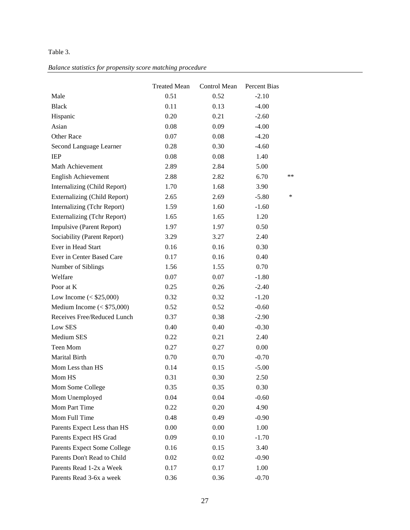## Table 3.

## *Balance statistics for propensity score matching procedure*

|                                     | <b>Treated Mean</b> | Control Mean | Percent Bias |        |
|-------------------------------------|---------------------|--------------|--------------|--------|
| Male                                | 0.51                | 0.52         | $-2.10$      |        |
| <b>Black</b>                        | 0.11                | 0.13         | $-4.00$      |        |
| Hispanic                            | 0.20                | 0.21         | $-2.60$      |        |
| Asian                               | 0.08                | 0.09         | $-4.00$      |        |
| Other Race                          | 0.07                | 0.08         | $-4.20$      |        |
| Second Language Learner             | 0.28                | 0.30         | $-4.60$      |        |
| <b>IEP</b>                          | 0.08                | 0.08         | 1.40         |        |
| Math Achievement                    | 2.89                | 2.84         | 5.00         |        |
| <b>English Achievement</b>          | 2.88                | 2.82         | 6.70         | **     |
| Internalizing (Child Report)        | 1.70                | 1.68         | 3.90         |        |
| <b>Externalizing (Child Report)</b> | 2.65                | 2.69         | $-5.80$      | $\ast$ |
| Internalizing (Tchr Report)         | 1.59                | 1.60         | $-1.60$      |        |
| <b>Externalizing (Tchr Report)</b>  | 1.65                | 1.65         | 1.20         |        |
| Impulsive (Parent Report)           | 1.97                | 1.97         | 0.50         |        |
| Sociability (Parent Report)         | 3.29                | 3.27         | 2.40         |        |
| Ever in Head Start                  | 0.16                | 0.16         | 0.30         |        |
| Ever in Center Based Care           | 0.17                | 0.16         | 0.40         |        |
| Number of Siblings                  | 1.56                | 1.55         | 0.70         |        |
| Welfare                             | 0.07                | 0.07         | $-1.80$      |        |
| Poor at K                           | 0.25                | 0.26         | $-2.40$      |        |
| Low Income $(<$ \$25,000)           | 0.32                | 0.32         | $-1.20$      |        |
| Medium Income $(<$ \$75,000)        | 0.52                | 0.52         | $-0.60$      |        |
| Receives Free/Reduced Lunch         | 0.37                | 0.38         | $-2.90$      |        |
| Low SES                             | 0.40                | 0.40         | $-0.30$      |        |
| Medium SES                          | 0.22                | 0.21         | 2.40         |        |
| Teen Mom                            | 0.27                | 0.27         | 0.00         |        |
| Marital Birth                       | 0.70                | 0.70         | $-0.70$      |        |
| Mom Less than HS                    | 0.14                | 0.15         | $-5.00$      |        |
| Mom HS                              | 0.31                | 0.30         | 2.50         |        |
| Mom Some College                    | 0.35                | 0.35         | 0.30         |        |
| Mom Unemployed                      | 0.04                | 0.04         | $-0.60$      |        |
| Mom Part Time                       | 0.22                | 0.20         | 4.90         |        |
| Mom Full Time                       | 0.48                | 0.49         | $-0.90$      |        |
| Parents Expect Less than HS         | 0.00                | 0.00         | 1.00         |        |
| Parents Expect HS Grad              | 0.09                | 0.10         | $-1.70$      |        |
| Parents Expect Some College         | 0.16                | 0.15         | 3.40         |        |
| Parents Don't Read to Child         | 0.02                | 0.02         | $-0.90$      |        |
| Parents Read 1-2x a Week            | 0.17                | 0.17         | 1.00         |        |
| Parents Read 3-6x a week            | 0.36                | 0.36         | $-0.70$      |        |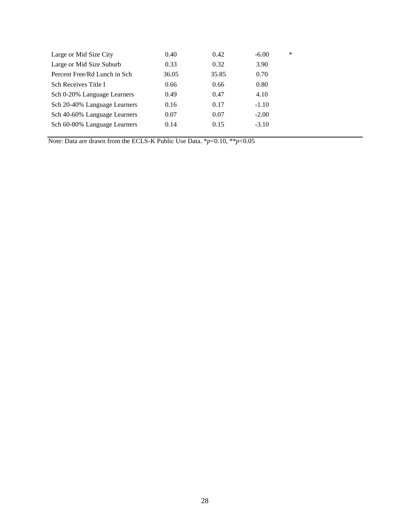| Large or Mid Size City       | 0.40  | 0.42  | $-6.00$ | ∗ |
|------------------------------|-------|-------|---------|---|
| Large or Mid Size Suburb     | 0.33  | 0.32  | 3.90    |   |
| Percent Free/Rd Lunch in Sch | 36.05 | 35.85 | 0.70    |   |
| Sch Receives Title I         | 0.66  | 0.66  | 0.80    |   |
| Sch 0-20% Language Learners  | 0.49  | 0.47  | 4.10    |   |
| Sch 20-40% Language Learners | 0.16  | 0.17  | $-1.10$ |   |
| Sch 40-60% Language Learners | 0.07  | 0.07  | $-2.00$ |   |
| Sch 60-80% Language Learners | 0.14  | 0.15  | $-3.10$ |   |
|                              |       |       |         |   |

Note: Data are drawn from the ECLS-K Public Use Data. \**p*<0.10, \*\**p*<0.05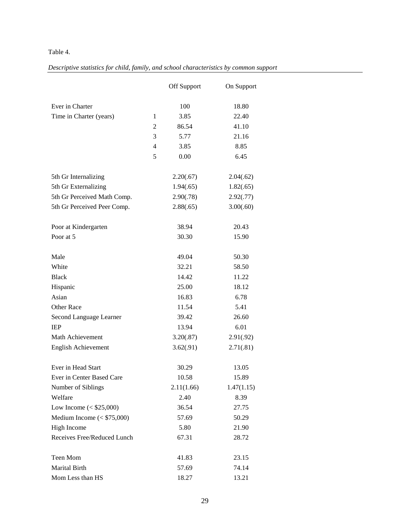## Table 4.

|--|

|                              |                | <b>Off Support</b> | On Support |
|------------------------------|----------------|--------------------|------------|
| Ever in Charter              |                | 100                | 18.80      |
| Time in Charter (years)      | $\mathbf{1}$   | 3.85               | 22.40      |
|                              | 2              | 86.54              | 41.10      |
|                              | 3              | 5.77               | 21.16      |
|                              | $\overline{4}$ | 3.85               | 8.85       |
|                              | 5              | 0.00               | 6.45       |
| 5th Gr Internalizing         |                | 2.20(.67)          | 2.04(.62)  |
| 5th Gr Externalizing         |                | 1.94(.65)          | 1.82(.65)  |
| 5th Gr Perceived Math Comp.  |                | 2.90(.78)          | 2.92(.77)  |
| 5th Gr Perceived Peer Comp.  |                | 2.88(.65)          | 3.00(.60)  |
| Poor at Kindergarten         |                | 38.94              | 20.43      |
| Poor at 5                    |                | 30.30              | 15.90      |
|                              |                |                    |            |
| Male                         |                | 49.04              | 50.30      |
| White                        |                | 32.21              | 58.50      |
| <b>Black</b>                 |                | 14.42              | 11.22      |
| Hispanic                     |                | 25.00              | 18.12      |
| Asian                        |                | 16.83              | 6.78       |
| Other Race                   |                | 11.54              | 5.41       |
| Second Language Learner      |                | 39.42              | 26.60      |
| <b>IEP</b>                   |                | 13.94              | 6.01       |
| Math Achievement             |                | 3.20(.87)          | 2.91(.92)  |
| <b>English Achievement</b>   |                | 3.62(.91)          | 2.71(.81)  |
| Ever in Head Start           |                | 30.29              | 13.05      |
| Ever in Center Based Care    |                | 10.58              | 15.89      |
| Number of Siblings           |                | 2.11(1.66)         | 1.47(1.15) |
| Welfare                      |                | 2.40               | 8.39       |
| Low Income $(<$ \$25,000)    |                | 36.54              | 27.75      |
| Medium Income $(<$ \$75,000) |                | 57.69              | 50.29      |
| High Income                  |                | 5.80               | 21.90      |
| Receives Free/Reduced Lunch  |                | 67.31              | 28.72      |
| Teen Mom                     |                | 41.83              | 23.15      |
| Marital Birth                |                | 57.69              | 74.14      |
| Mom Less than HS             |                | 18.27              | 13.21      |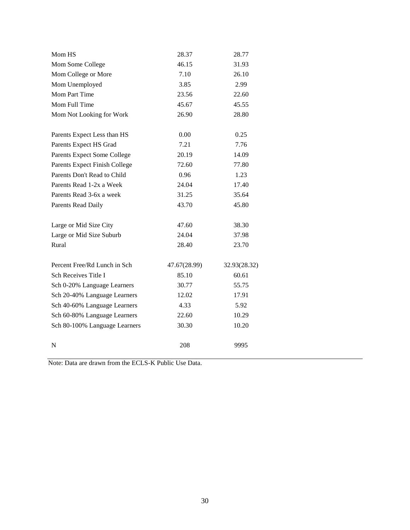| Mom HS                        | 28.37        | 28.77        |
|-------------------------------|--------------|--------------|
| Mom Some College              | 46.15        | 31.93        |
| Mom College or More           | 7.10         | 26.10        |
| Mom Unemployed                | 3.85         | 2.99         |
| Mom Part Time                 | 23.56        | 22.60        |
| Mom Full Time                 | 45.67        | 45.55        |
| Mom Not Looking for Work      | 26.90        | 28.80        |
| Parents Expect Less than HS   | 0.00         | 0.25         |
| Parents Expect HS Grad        | 7.21         | 7.76         |
| Parents Expect Some College   | 20.19        | 14.09        |
| Parents Expect Finish College | 72.60        | 77.80        |
| Parents Don't Read to Child   | 0.96         | 1.23         |
| Parents Read 1-2x a Week      | 24.04        | 17.40        |
| Parents Read 3-6x a week      | 31.25        | 35.64        |
| <b>Parents Read Daily</b>     | 43.70        | 45.80        |
| Large or Mid Size City        | 47.60        | 38.30        |
| Large or Mid Size Suburb      | 24.04        | 37.98        |
| Rural                         | 28.40        | 23.70        |
| Percent Free/Rd Lunch in Sch  | 47.67(28.99) | 32.93(28.32) |
| Sch Receives Title I          | 85.10        | 60.61        |
| Sch 0-20% Language Learners   | 30.77        | 55.75        |
| Sch 20-40% Language Learners  | 12.02        | 17.91        |
| Sch 40-60% Language Learners  | 4.33         | 5.92         |
| Sch 60-80% Language Learners  | 22.60        | 10.29        |
| Sch 80-100% Language Learners | 30.30        | 10.20        |
| N                             | 208          | 9995         |

Note: Data are drawn from the ECLS-K Public Use Data.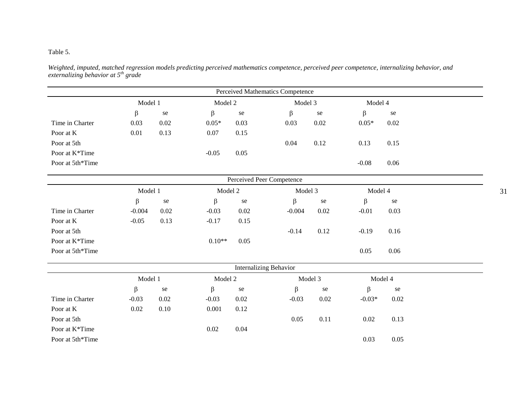## Table 5.

*Weighted, imputed, matched regression models predicting perceived mathematics competence, perceived peer competence, internalizing behavior, and externalizing behavior at 5th grade* 

|                  |          |      |          |                        | Perceived Mathematics Competence |           |          |         |
|------------------|----------|------|----------|------------------------|----------------------------------|-----------|----------|---------|
|                  | Model 1  |      | Model 2  |                        | Model 3                          |           | Model 4  |         |
|                  | $\beta$  | se   | $\beta$  | se                     | $\beta$                          | $\rm{se}$ | $\beta$  | se      |
| Time in Charter  | 0.03     | 0.02 | $0.05*$  | 0.03                   | 0.03                             | 0.02      | $0.05*$  | 0.02    |
| Poor at K        | 0.01     | 0.13 | 0.07     | 0.15                   |                                  |           |          |         |
| Poor at 5th      |          |      |          |                        | 0.04                             | 0.12      | 0.13     | 0.15    |
| Poor at K*Time   |          |      | $-0.05$  | 0.05                   |                                  |           |          |         |
| Poor at 5th*Time |          |      |          |                        |                                  |           | $-0.08$  | 0.06    |
|                  |          |      |          |                        | Perceived Peer Competence        |           |          |         |
|                  | Model 1  |      | Model 2  |                        | Model 3                          |           | Model 4  |         |
|                  | $\beta$  | se   | $\beta$  | se                     | β                                | se        | β        | se      |
| Time in Charter  | $-0.004$ | 0.02 | $-0.03$  | 0.02                   | $-0.004$                         | 0.02      | $-0.01$  | 0.03    |
| Poor at K        | $-0.05$  | 0.13 | $-0.17$  | 0.15                   |                                  |           |          |         |
| Poor at 5th      |          |      |          |                        | $-0.14$                          | 0.12      | $-0.19$  | 0.16    |
| Poor at K*Time   |          |      | $0.10**$ | 0.05                   |                                  |           |          |         |
| Poor at 5th*Time |          |      |          |                        |                                  |           | 0.05     | 0.06    |
|                  |          |      |          | Internalizing Behavior |                                  |           |          |         |
|                  | Model 1  |      | Model 2  |                        |                                  | Model 3   |          | Model 4 |
|                  | $\beta$  | se   | β        | se                     | $\beta$                          | se        | β        | se      |
| Time in Charter  | $-0.03$  | 0.02 | $-0.03$  | 0.02                   | $-0.03$                          | 0.02      | $-0.03*$ | 0.02    |
| Poor at K        | 0.02     | 0.10 | 0.001    | 0.12                   |                                  |           |          |         |
| Poor at 5th      |          |      |          |                        | 0.05                             | 0.11      | 0.02     | 0.13    |
| Poor at K*Time   |          |      | 0.02     | 0.04                   |                                  |           |          |         |
| Poor at 5th*Time |          |      |          |                        |                                  |           | 0.03     | 0.05    |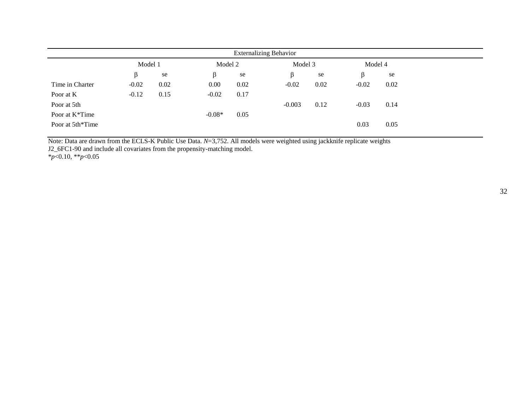|                             |         |      |          | <b>Externalizing Behavior</b> |          |      |         |      |
|-----------------------------|---------|------|----------|-------------------------------|----------|------|---------|------|
|                             | Model 1 |      | Model 2  |                               | Model 3  |      | Model 4 |      |
|                             | ß       | se   | $\beta$  | se                            | ß        | se   | ß       | se   |
| Time in Charter             | $-0.02$ | 0.02 | 0.00     | 0.02                          | $-0.02$  | 0.02 | $-0.02$ | 0.02 |
| Poor at K                   | $-0.12$ | 0.15 | $-0.02$  | 0.17                          |          |      |         |      |
| Poor at 5th                 |         |      |          |                               | $-0.003$ | 0.12 | $-0.03$ | 0.14 |
| Poor at K <sup>*</sup> Time |         |      | $-0.08*$ | 0.05                          |          |      |         |      |
| Poor at 5th*Time            |         |      |          |                               |          |      | 0.03    | 0.05 |

Note: Data are drawn from the ECLS-K Public Use Data. *N*=3,752. All models were weighted using jackknife replicate weights

J2\_6FC1-90 and include all covariates from the propensity-matching model.

\**p*<0.10, \*\**p*<0.05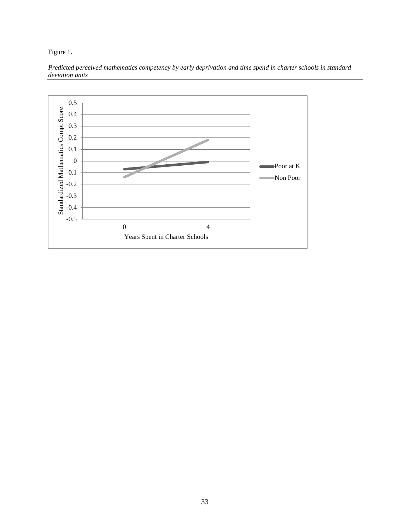Figure 1.



*Predicted perceived mathematics competency by early deprivation and time spend in charter schools in standard deviation units*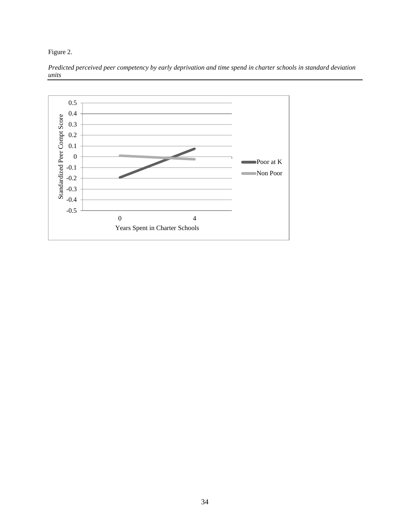Figure 2.



*Predicted perceived peer competency by early deprivation and time spend in charter schools in standard deviation units*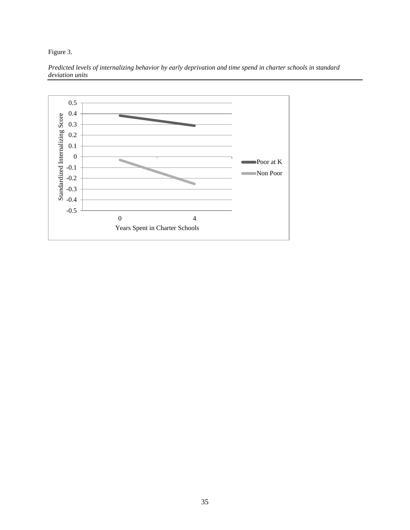Figure 3.



*Predicted levels of internalizing behavior by early deprivation and time spend in charter schools in standard deviation units*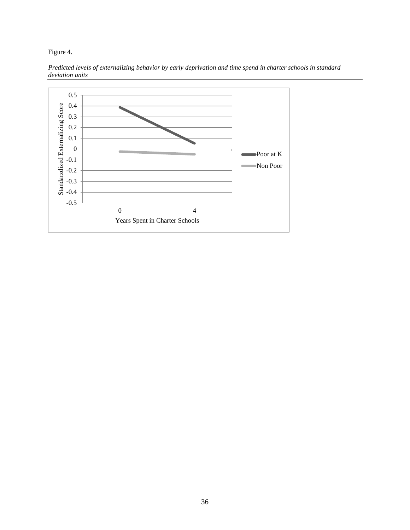Figure 4.



*Predicted levels of externalizing behavior by early deprivation and time spend in charter schools in standard deviation units*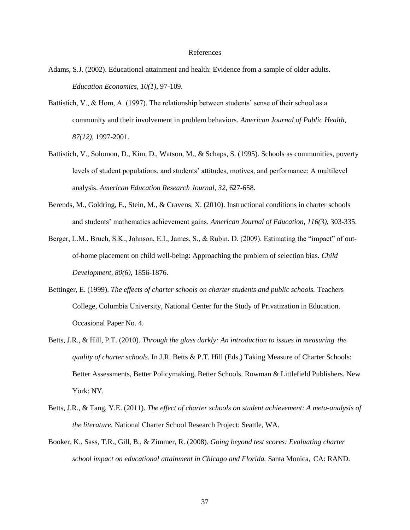#### References

- Adams, S.J. (2002). Educational attainment and health: Evidence from a sample of older adults. *Education Economics, 10(1),* 97-109.
- Battistich, V., & Hom, A. (1997). The relationship between students' sense of their school as a community and their involvement in problem behaviors. *American Journal of Public Health, 87(12),* 1997-2001.
- Battistich, V., Solomon, D., Kim, D., Watson, M., & Schaps, S. (1995). Schools as communities, poverty levels of student populations, and students' attitudes, motives, and performance: A multilevel analysis. *American Education Research Journal, 32,* 627-658.
- Berends, M., Goldring, E., Stein, M., & Cravens, X. (2010). Instructional conditions in charter schools and students' mathematics achievement gains. *American Journal of Education, 116(3),* 303-335.
- Berger, L.M., Bruch, S.K., Johnson, E.I., James, S., & Rubin, D. (2009). Estimating the "impact" of outof-home placement on child well-being: Approaching the problem of selection bias. *Child Development, 80(6),* 1856-1876.
- Bettinger, E. (1999). *The effects of charter schools on charter students and public schools.* Teachers College, Columbia University, National Center for the Study of Privatization in Education. Occasional Paper No. 4.
- Betts, J.R., & Hill, P.T. (2010). *Through the glass darkly: An introduction to issues in measuring the quality of charter schools.* In J.R. Betts & P.T. Hill (Eds.) Taking Measure of Charter Schools: Better Assessments, Better Policymaking, Better Schools. Rowman & Littlefield Publishers. New York: NY.
- Betts, J.R., & Tang, Y.E. (2011). *The effect of charter schools on student achievement: A meta-analysis of the literature.* National Charter School Research Project: Seattle, WA.
- Booker, K., Sass, T.R., Gill, B., & Zimmer, R. (2008). *Going beyond test scores: Evaluating charter school impact on educational attainment in Chicago and Florida.* Santa Monica, CA: RAND.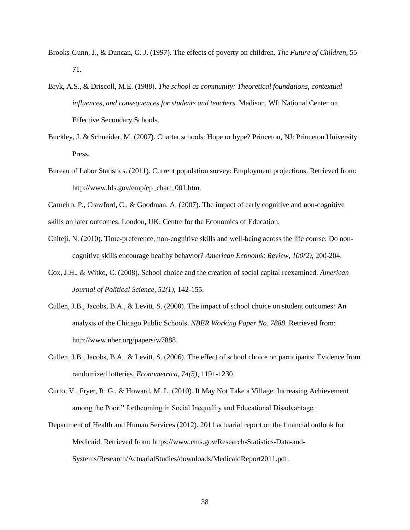- Brooks-Gunn, J., & Duncan, G. J. (1997). The effects of poverty on children. *The Future of Children*, 55- 71.
- Bryk, A.S., & Driscoll, M.E. (1988). *The school as community: Theoretical foundations, contextual influences, and consequences for students and teachers.* Madison, WI: National Center on Effective Secondary Schools.
- Buckley, J. & Schneider, M. (2007). Charter schools: Hope or hype? Princeton, NJ: Princeton University Press.
- Bureau of Labor Statistics. (2011). Current population survey: Employment projections. Retrieved from: http://www.bls.gov/emp/ep\_chart\_001.htm.
- Carneiro, P., Crawford, C., & Goodman, A. (2007). The impact of early cognitive and non-cognitive
- skills on later outcomes. London, UK: Centre for the Economics of Education.
- Chiteji, N. (2010). Time-preference, non-cognitive skills and well-being across the life course: Do noncognitive skills encourage healthy behavior? *American Economic Review, 100(2),* 200-204.
- Cox, J.H., & Witko, C. (2008). School choice and the creation of social capital reexamined. *American Journal of Political Science, 52(1),* 142-155.
- Cullen, J.B., Jacobs, B.A., & Levitt, S. (2000). The impact of school choice on student outcomes: An analysis of the Chicago Public Schools. *NBER Working Paper No. 7888.* Retrieved from: http://www.nber.org/papers/w7888.
- Cullen, J.B., Jacobs, B.A., & Levitt, S. (2006). The effect of school choice on participants: Evidence from randomized lotteries. *Econometrica, 74(5),* 1191-1230.

Curto, V., Fryer, R. G., & Howard, M. L. (2010). It May Not Take a Village: Increasing Achievement among the Poor." forthcoming in Social Inequality and Educational Disadvantage.

Department of Health and Human Services (2012). 2011 actuarial report on the financial outlook for Medicaid. Retrieved from: https://www.cms.gov/Research-Statistics-Data-and-Systems/Research/ActuarialStudies/downloads/MedicaidReport2011.pdf.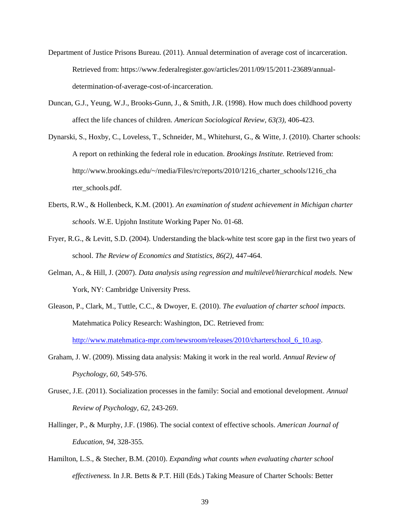- Department of Justice Prisons Bureau. (2011). Annual determination of average cost of incarceration. Retrieved from: https://www.federalregister.gov/articles/2011/09/15/2011-23689/annualdetermination-of-average-cost-of-incarceration.
- Duncan, G.J., Yeung, W.J., Brooks-Gunn, J., & Smith, J.R. (1998). How much does childhood poverty affect the life chances of children. *American Sociological Review, 63(3),* 406-423.
- Dynarski, S., Hoxby, C., Loveless, T., Schneider, M., Whitehurst, G., & Witte, J. (2010). Charter schools: A report on rethinking the federal role in education. *Brookings Institute.* Retrieved from: http://www.brookings.edu/~/media/Files/rc/reports/2010/1216\_charter\_schools/1216\_cha rter\_schools.pdf.
- Eberts, R.W., & Hollenbeck, K.M. (2001). *An examination of student achievement in Michigan charter schools*. W.E. Upjohn Institute Working Paper No. 01-68.
- Fryer, R.G., & Levitt, S.D. (2004). Understanding the black-white test score gap in the first two years of school. *The Review of Economics and Statistics, 86(2)*, 447-464.
- Gelman, A., & Hill, J. (2007). *Data analysis using regression and multilevel/hierarchical models.* New York, NY: Cambridge University Press.
- Gleason, P., Clark, M., Tuttle, C.C., & Dwoyer, E. (2010). *The evaluation of charter school impacts.* Matehmatica Policy Research: Washington, DC. Retrieved from: http://www.matehmatica-mpr.com/newsroom/releases/2010/charterschool 6 10.asp.
- Graham, J. W. (2009). Missing data analysis: Making it work in the real world. *Annual Review of Psychology*, *60*, 549-576.
- Grusec, J.E. (2011). Socialization processes in the family: Social and emotional development. *Annual Review of Psychology, 62,* 243-269.
- Hallinger, P., & Murphy, J.F. (1986). The social context of effective schools. *American Journal of Education, 94,* 328-355.
- Hamilton, L.S., & Stecher, B.M. (2010). *Expanding what counts when evaluating charter school effectiveness.* In J.R. Betts & P.T. Hill (Eds.) Taking Measure of Charter Schools: Better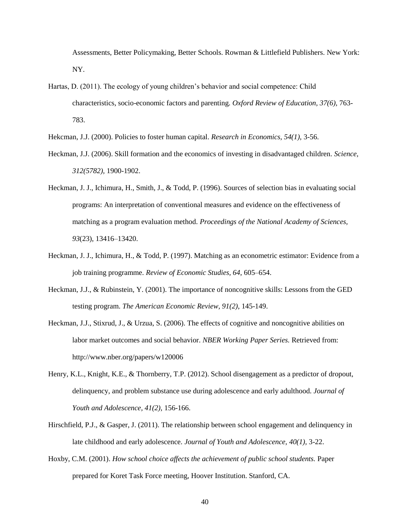Assessments, Better Policymaking, Better Schools. Rowman & Littlefield Publishers. New York: NY.

- Hartas, D. (2011). The ecology of young children's behavior and social competence: Child characteristics, socio-economic factors and parenting. *Oxford Review of Education, 37(6),* 763- 783.
- Hekcman, J.J. (2000). Policies to foster human capital. *Research in Economics, 54(1),* 3-56.
- Heckman, J.J. (2006). Skill formation and the economics of investing in disadvantaged children. *Science, 312(5782),* 1900-1902.
- Heckman, J. J., Ichimura, H., Smith, J., & Todd, P. (1996). Sources of selection bias in evaluating social programs: An interpretation of conventional measures and evidence on the effectiveness of matching as a program evaluation method. *Proceedings of the National Academy of Sciences, 93*(23), 13416–13420.
- Heckman, J. J., Ichimura, H., & Todd, P. (1997). Matching as an econometric estimator: Evidence from a job training programme. *Review of Economic Studies, 64*, 605–654.
- Heckman, J.J., & Rubinstein, Y. (2001). The importance of noncognitive skills: Lessons from the GED testing program. *The American Economic Review, 91(2)*, 145-149.
- Heckman, J.J., Stixrud, J., & Urzua, S. (2006). The effects of cognitive and noncognitive abilities on labor market outcomes and social behavior. *NBER Working Paper Series.* Retrieved from: http://www.nber.org/papers/w120006
- Henry, K.L., Knight, K.E., & Thornberry, T.P. (2012). School disengagement as a predictor of dropout, delinquency, and problem substance use during adolescence and early adulthood. *Journal of Youth and Adolescence, 41(2),* 156-166.
- Hirschfield, P.J., & Gasper, J. (2011). The relationship between school engagement and delinquency in late childhood and early adolescence. *Journal of Youth and Adolescence, 40(1),* 3-22.
- Hoxby, C.M. (2001). *How school choice affects the achievement of public school students.* Paper prepared for Koret Task Force meeting, Hoover Institution. Stanford, CA.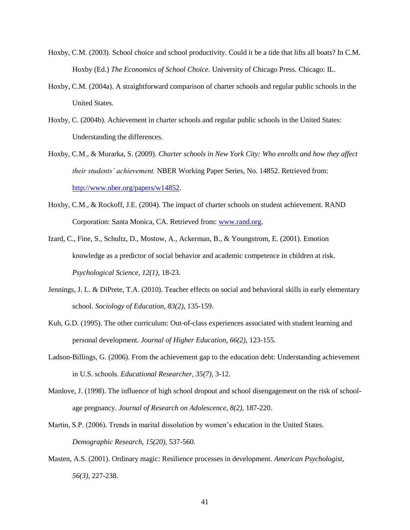- Hoxby, C.M. (2003). School choice and school productivity. Could it be a tide that lifts all boats? In C.M. Hoxby (Ed.) *The Economics of School Choice.* University of Chicago Press. Chicago: IL.
- Hoxby, C.M. (2004a). A straightforward comparison of charter schools and regular public schools in the United States.
- Hoxby, C. (2004b). Achievement in charter schools and regular public schools in the United States: Understanding the differences.
- Hoxby, C.M., & Murarka, S. (2009). *Charter schools in New York City: Who enrolls and how they affect their students' achievement.* NBER Working Paper Series, No. 14852. Retrieved from: [http://www.nber.org/papers/w14852.](http://www.nber.org/papers/w14852)
- Hoxby, C.M., & Rockoff, J.E. (2004). The impact of charter schools on student achievement. RAND Corporation: Santa Monica, CA. Retrieved from: [www.rand.org.](http://www.rand.org/)
- Izard, C., Fine, S., Schultz, D., Mostow, A., Ackerman, B., & Youngstrom, E. (2001). Emotion knowledge as a predictor of social behavior and academic competence in children at risk. *Psychological Science, 12(1),* 18-23.
- Jennings, J. L. & DiPrete, T.A. (2010). Teacher effects on social and behavioral skills in early elementary school. *Sociology of Education, 83(2),* 135-159.
- Kuh, G.D. (1995). The other curriculum: Out-of-class experiences associated with student learning and personal development. *Journal of Higher Education, 66(2),* 123-155.
- Ladson-Billings, G. (2006). From the achievement gap to the education debt: Understanding achievement in U.S. schools. *Educational Researcher, 35(7),* 3-12.
- Manlove, J. (1998). The influence of high school dropout and school disengagement on the risk of schoolage pregnancy. *Journal of Research on Adolescence, 8(2),* 187-220.
- Martin, S.P. (2006). Trends in marital dissolution by women's education in the United States. *Demographic Research, 15(20),* 537-560.
- Masten, A.S. (2001). Ordinary magic: Resilience processes in development. *American Psychologist, 56(3),* 227-238.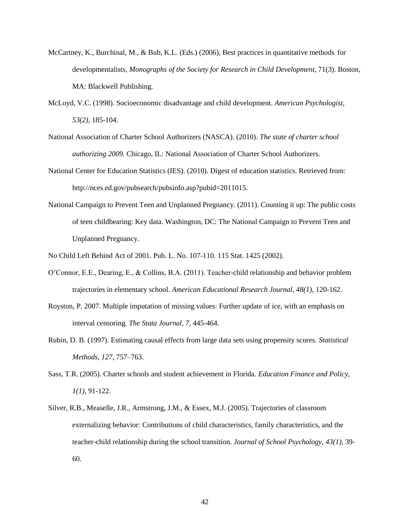- McCartney, K., Burchinal, M., & Bub, K.L. (Eds.) (2006), Best practices in quantitative methods for developmentalists, *Monographs of the Society for Research in Child Development,* 71(3). Boston, MA: Blackwell Publishing.
- McLoyd, V.C. (1998). Socioeconomic disadvantage and child development. *American Psychologist, 53(2),* 185-104.
- National Association of Charter School Authorizers (NASCA). (2010). *The state of charter school authorizing 2009.* Chicago, IL: National Association of Charter School Authorizers.
- National Center for Education Statistics (IES). (2010). Digest of education statistics. Retrieved from: http://nces.ed.gov/pubsearch/pubsinfo.asp?pubid=2011015.
- National Campaign to Prevent Teen and Unplanned Pregnancy. (2011). Counting it up: The public costs of teen childbearing: Key data. Washington, DC: The National Campaign to Prevent Teen and Unplanned Pregnancy.

No Child Left Behind Act of 2001. Pub. L. No. 107-110. 115 Stat. 1425 (2002).

- O'Connor, E.E., Dearing, E., & Collins, B.A. (2011). Teacher-child relationship and behavior problem trajectories in elementary school. *American Educational Research Journal, 48(1),* 120-162.
- Royston, P. 2007. Multiple imputation of missing values: Further update of ice, with an emphasis on interval censoring. *The Stata Journal, 7*, 445-464.
- Rubin, D. B. (1997). Estimating causal effects from large data sets using propensity scores. *Statistical Methods, 127*, 757–763.
- Sass, T.R. (2005). Charter schools and student achievement in Florida. *Education Finance and Policy, 1(1),* 91-122.
- Silver, R.B., Measelle, J.R., Armstrong, J.M., & Essex, M.J. (2005). Trajectories of classroom externalizing behavior: Contributions of child characteristics, family characteristics, and the teacher-child relationship during the school transition. *Journal of School Psychology, 43(1),* 39- 60.